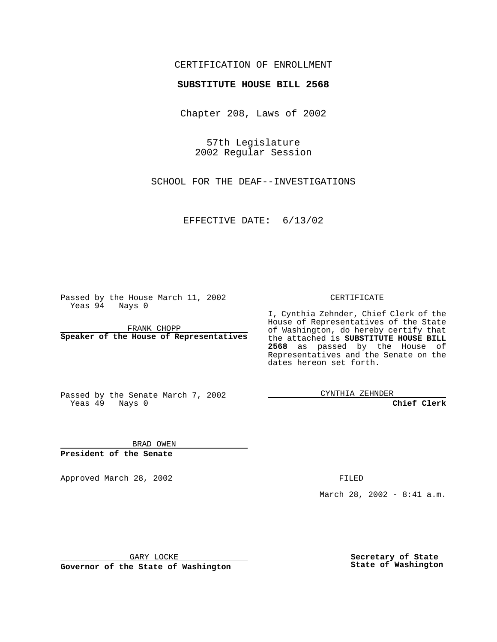#### CERTIFICATION OF ENROLLMENT

# **SUBSTITUTE HOUSE BILL 2568**

Chapter 208, Laws of 2002

57th Legislature 2002 Regular Session

SCHOOL FOR THE DEAF--INVESTIGATIONS

EFFECTIVE DATE: 6/13/02

Passed by the House March 11, 2002 Yeas 94 Nays 0

FRANK CHOPP **Speaker of the House of Representatives** CERTIFICATE

I, Cynthia Zehnder, Chief Clerk of the House of Representatives of the State of Washington, do hereby certify that the attached is **SUBSTITUTE HOUSE BILL 2568** as passed by the House of Representatives and the Senate on the dates hereon set forth.

Passed by the Senate March 7, 2002 Yeas 49 Nays 0

CYNTHIA ZEHNDER

**Chief Clerk**

BRAD OWEN **President of the Senate**

Approved March 28, 2002 **FILED** 

March 28, 2002 - 8:41 a.m.

GARY LOCKE

**Governor of the State of Washington**

**Secretary of State State of Washington**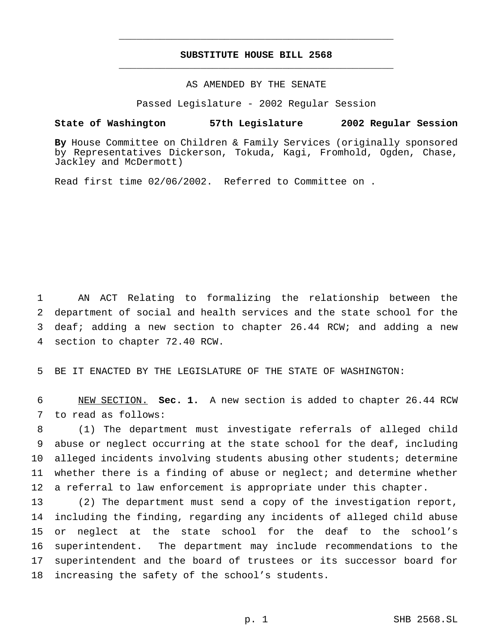### **SUBSTITUTE HOUSE BILL 2568** \_\_\_\_\_\_\_\_\_\_\_\_\_\_\_\_\_\_\_\_\_\_\_\_\_\_\_\_\_\_\_\_\_\_\_\_\_\_\_\_\_\_\_\_\_\_\_

\_\_\_\_\_\_\_\_\_\_\_\_\_\_\_\_\_\_\_\_\_\_\_\_\_\_\_\_\_\_\_\_\_\_\_\_\_\_\_\_\_\_\_\_\_\_\_

## AS AMENDED BY THE SENATE

Passed Legislature - 2002 Regular Session

#### **State of Washington 57th Legislature 2002 Regular Session**

**By** House Committee on Children & Family Services (originally sponsored by Representatives Dickerson, Tokuda, Kagi, Fromhold, Ogden, Chase, Jackley and McDermott)

Read first time 02/06/2002. Referred to Committee on .

 AN ACT Relating to formalizing the relationship between the department of social and health services and the state school for the deaf; adding a new section to chapter 26.44 RCW; and adding a new section to chapter 72.40 RCW.

5 BE IT ENACTED BY THE LEGISLATURE OF THE STATE OF WASHINGTON:

6 NEW SECTION. **Sec. 1.** A new section is added to chapter 26.44 RCW 7 to read as follows:

 (1) The department must investigate referrals of alleged child abuse or neglect occurring at the state school for the deaf, including alleged incidents involving students abusing other students; determine whether there is a finding of abuse or neglect; and determine whether 12 a referral to law enforcement is appropriate under this chapter.

 (2) The department must send a copy of the investigation report, including the finding, regarding any incidents of alleged child abuse or neglect at the state school for the deaf to the school's superintendent. The department may include recommendations to the superintendent and the board of trustees or its successor board for increasing the safety of the school's students.